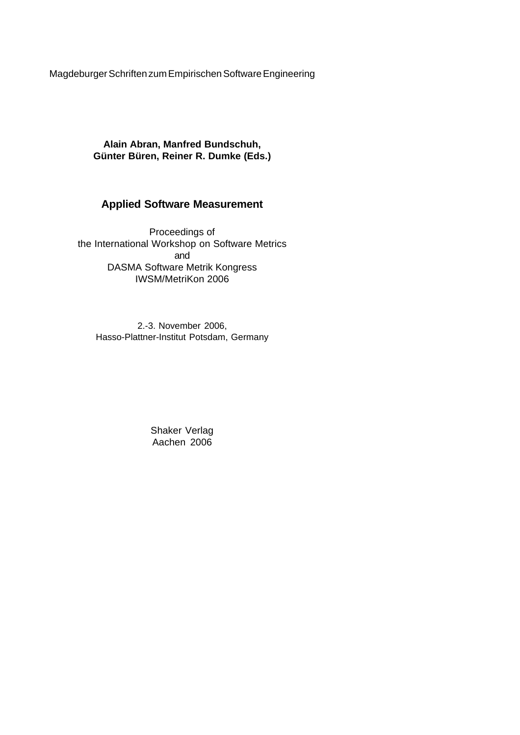Magdeburger Schriften zum Empirischen Software Engineering

**Alain Abran, Manfred Bundschuh, Günter Büren, Reiner R. Dumke (Eds.)**

# **Applied Software Measurement**

Proceedings of the International Workshop on Software Metrics and DASMA Software Metrik Kongress IWSM/MetriKon 2006

2.-3. November 2006, Hasso-Plattner-Institut Potsdam, Germany

> Shaker Verlag Aachen 2006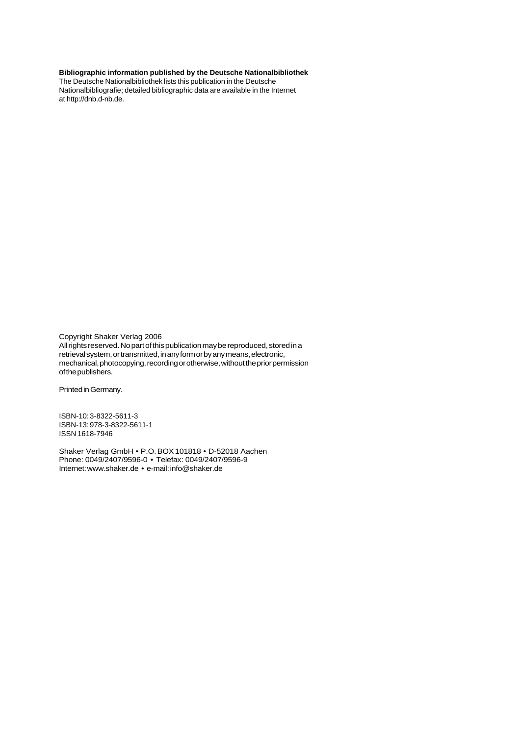#### **Bibliographic information published by the Deutsche Nationalbibliothek**

The Deutsche Nationalbibliothek lists this publication in the Deutsche Nationalbibliografie; detailed bibliographic data are available in the Internet at http://dnb.d-nb.de.

Copyright Shaker Verlag 2006

All rights reserved. No part of this publication may be reproduced, stored in a retrieval system, or transmitted, in any form or by any means, electronic, mechanical, photocopying, recording or otherwise, without the prior permission of the publishers.

PrintedinGermany.

ISBN-10: 3-8322-5611-3 ISBN-13: 978-3-8322-5611-1 ISSN 1618-7946

Shaker Verlag GmbH • P.O. BOX 101818 • D-52018 Aachen Phone: 0049/2407/9596-0 • Telefax: 0049/2407/9596-9 Internet: www.shaker.de • e-mail: info@shaker.de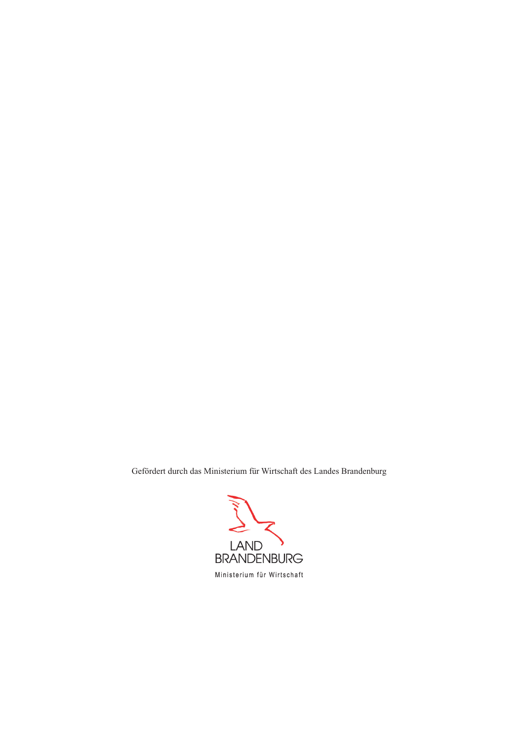Gefördert durch das Ministerium für Wirtschaft des Landes Brandenburg

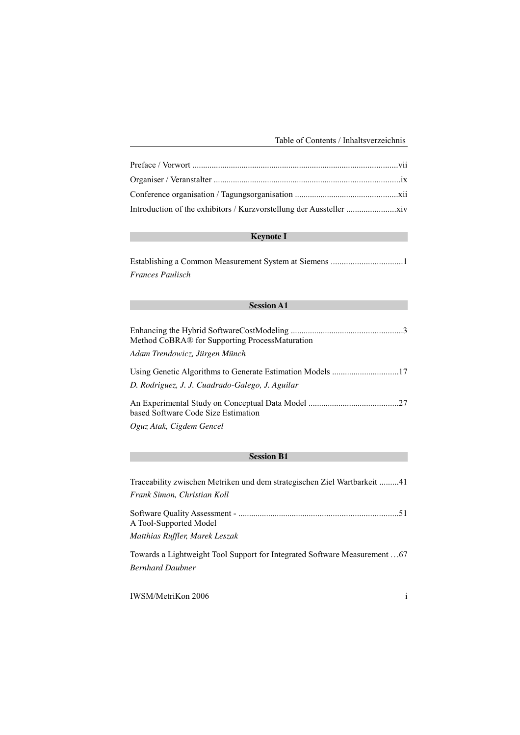# **Keynote I**

Establishing a Common Measurement System at Siemens .................................1 *Frances Paulisch*

## **Session A1**

| Method CoBRA® for Supporting ProcessMaturation  |
|-------------------------------------------------|
| Adam Trendowicz, Jürgen Münch                   |
| D. Rodriguez, J. J. Cuadrado-Galego, J. Aguilar |
| based Software Code Size Estimation             |
| $\Omega_{\alpha\mu\sigma}$ Atak Ciodam Canaal   |

*Oguz Atak, Cigdem Gencel*

#### **Session B1**

| Traceability zwischen Metriken und dem strategischen Ziel Wartbarkeit 41<br>Frank Simon, Christian Koll |
|---------------------------------------------------------------------------------------------------------|
| A Tool-Supported Model                                                                                  |
| Matthias Ruffler, Marek Leszak                                                                          |
| Towards a Lightweight Tool Support for Integrated Software Measurement  67                              |

*Bernhard Daubner*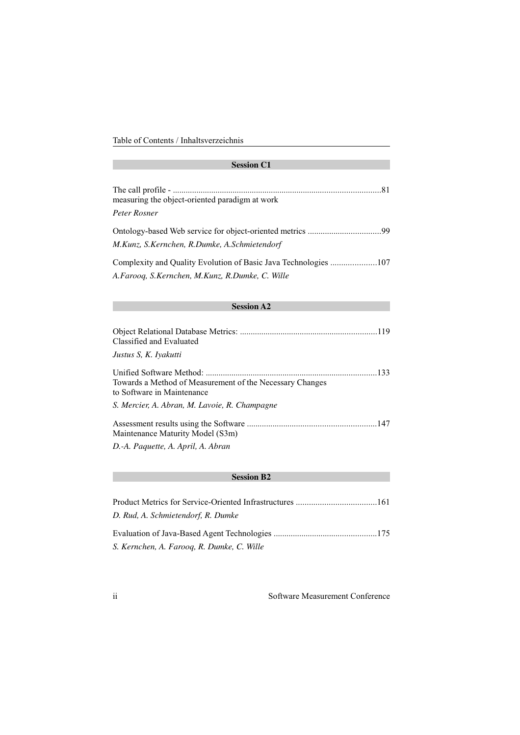# **Session C1**

| measuring the object-oriented paradigm at work  |  |
|-------------------------------------------------|--|
| Peter Rosner                                    |  |
| M.Kunz, S.Kernchen, R.Dumke, A.Schmietendorf    |  |
| A.Farooq, S.Kernchen, M.Kunz, R.Dumke, C. Wille |  |
| <b>Session A2</b>                               |  |

| Classified and Evaluated                                                               |  |
|----------------------------------------------------------------------------------------|--|
| Justus S, K. Iyakutti                                                                  |  |
| Towards a Method of Measurement of the Necessary Changes<br>to Software in Maintenance |  |
| S. Mercier, A. Abran, M. Lavoie, R. Champagne                                          |  |
| Maintenance Maturity Model (S3m)                                                       |  |
| D.-A. Paquette, A. April, A. Abran                                                     |  |

## **Session B2**

| D. Rud, A. Schmietendorf, R. Dumke         |  |
|--------------------------------------------|--|
|                                            |  |
| S. Kernchen, A. Farooq, R. Dumke, C. Wille |  |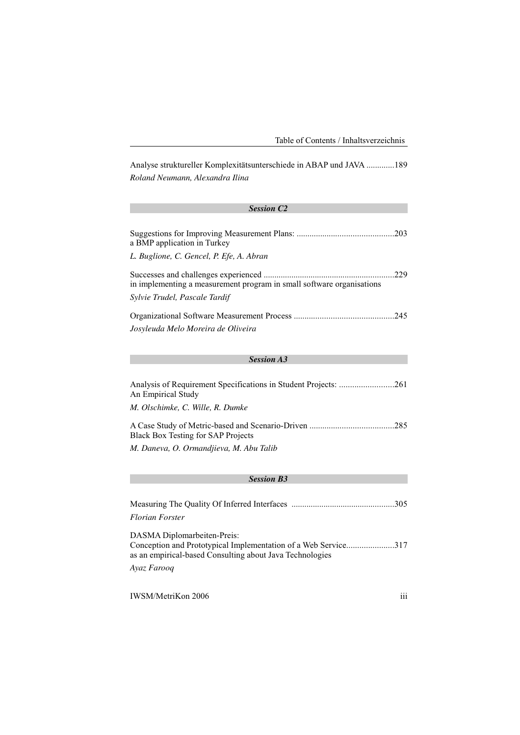Analyse struktureller Komplexitätsunterschiede in ABAP und JAVA .............189 *Roland Neumann, Alexandra Ilina*

# *Session C2* Suggestions for Improving Measurement Plans: .............................................203 a BMP application in Turkey *L. Buglione, C. Gencel, P. Efe, A. Abran* Successes and challenges experienced .............................................................229 in implementing a measurement program in small software organisations *Sylvie Trudel, Pascale Tardif* Organizational Software Measurement Process ..............................................245 *Josyleuda Melo Moreira de Oliveira*

#### *Session A3*

| An Empirical Study                        |  |
|-------------------------------------------|--|
| M. Olschimke, C. Wille, R. Dumke          |  |
| <b>Black Box Testing for SAP Projects</b> |  |
| M. Daneva, O. Ormandjieva, M. Abu Talib   |  |

#### *Session B3*

| Florian Forster |  |
|-----------------|--|

DASMA Diplomarbeiten-Preis: Conception and Prototypical Implementation of a Web Service......................317 as an empirical-based Consulting about Java Technologies

#### *Ayaz Farooq*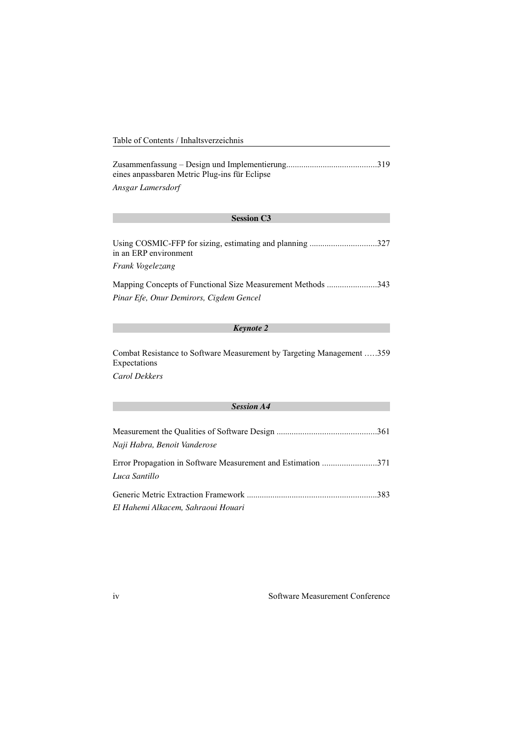eines anpassbaren Metric Plug-ins für Eclipse Ansgar Lamersdorf

| <b>Session C3</b>                                                                 |  |
|-----------------------------------------------------------------------------------|--|
|                                                                                   |  |
| Using COSMIC-FFP for sizing, estimating and planning 327<br>in an ERP environment |  |
| Frank Vogelezang                                                                  |  |
| Mapping Concepts of Functional Size Measurement Methods 343                       |  |
| Pinar Efe, Onur Demirors, Cigdem Gencel                                           |  |

## **Keynote 2**

Combat Resistance to Software Measurement by Targeting Management .....359 Expectations

Carol Dekkers

## **Session A4**

| Naji Habra, Benoit Vanderose                                                  |  |
|-------------------------------------------------------------------------------|--|
| Error Propagation in Software Measurement and Estimation 371<br>Luca Santillo |  |
|                                                                               |  |
| El Hahemi Alkacem. Sahraoui Houari                                            |  |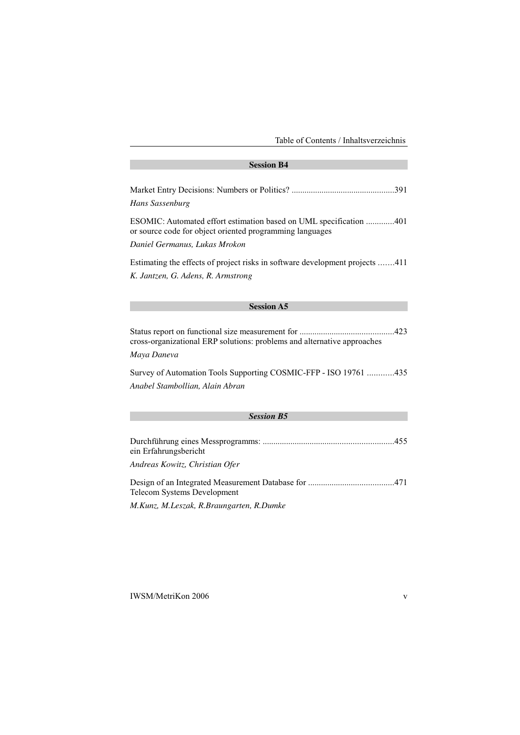#### **Session B4**

| <b>Session A5</b>                                                                                                              |  |
|--------------------------------------------------------------------------------------------------------------------------------|--|
| K. Jantzen, G. Adens, R. Armstrong                                                                                             |  |
| Estimating the effects of project risks in software development projects 411                                                   |  |
| Daniel Germanus, Lukas Mrokon                                                                                                  |  |
| ESOMIC: Automated effort estimation based on UML specification 401<br>or source code for object oriented programming languages |  |
| Hans Sassenburg                                                                                                                |  |
|                                                                                                                                |  |

Status report on functional size measurement for ............................................423 cross-organizational ERP solutions: problems and alternative approaches

*Maya Daneva*

Survey of Automation Tools Supporting COSMIC-FFP - ISO 19761 ............435 *Anabel Stambollian, Alain Abran*

## *Session B5*

| ein Erfahrungsbericht                    |  |
|------------------------------------------|--|
| Andreas Kowitz, Christian Ofer           |  |
| Telecom Systems Development              |  |
| M.Kunz, M.Leszak, R.Braungarten, R.Dumke |  |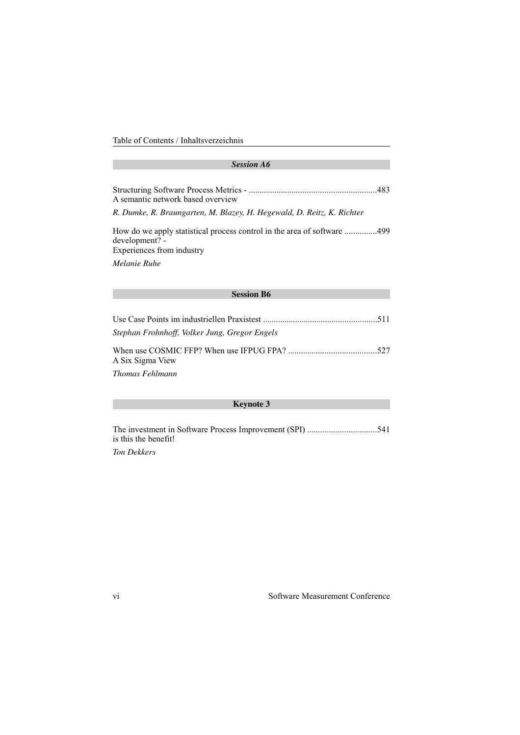#### *Session A6*

| A semantic network based overview |  |
|-----------------------------------|--|

*R. Dumke, R. Braungarten, M. Blazey, H. Hegewald, D. Reitz, K. Richter*

How do we apply statistical process control in the area of software ...............499 development? - Experiences from industry

*Melanie Ruhe*

#### **Session B6**

| Stephan Frohnhoff, Volker Jung, Gregor Engels |  |
|-----------------------------------------------|--|
| A Six Sigma View                              |  |
| Thomas Fehlmann                               |  |

## **Keynote 3**

The investment in Software Process Improvement (SPI) ................................541 is this the benefit!

*Ton Dekkers*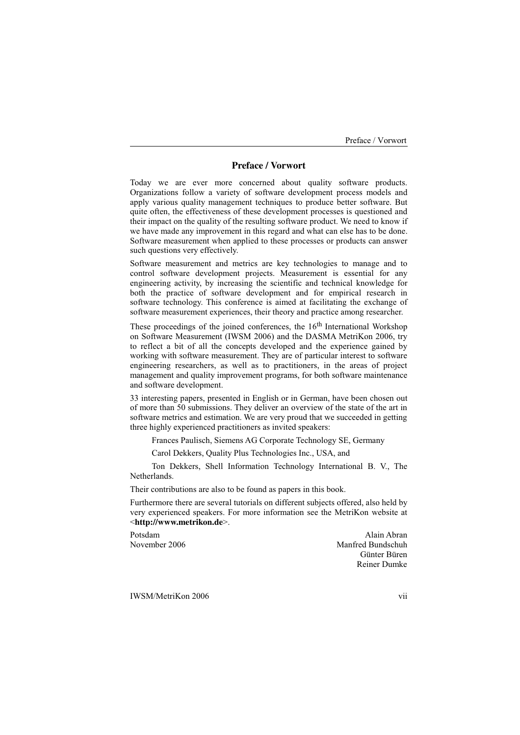# **Preface / Vorwort**

Today we are ever more concerned about quality software products. Organizations follow a variety of software development process models and apply various quality management techniques to produce better software. But quite often, the effectiveness of these development processes is questioned and their impact on the quality of the resulting software product. We need to know if we have made any improvement in this regard and what can else has to be done. Software measurement when applied to these processes or products can answer such questions very effectively.

Software measurement and metrics are key technologies to manage and to control software development projects. Measurement is essential for any engineering activity, by increasing the scientific and technical knowledge for both the practice of software development and for empirical research in software technology. This conference is aimed at facilitating the exchange of software measurement experiences, their theory and practice among researcher.

These proceedings of the joined conferences, the  $16<sup>th</sup>$  International Workshop on Software Measurement (IWSM 2006) and the DASMA MetriKon 2006, try to reflect a bit of all the concepts developed and the experience gained by working with software measurement. They are of particular interest to software engineering researchers, as well as to practitioners, in the areas of project management and quality improvement programs, for both software maintenance and software development.

33 interesting papers, presented in English or in German, have been chosen out of more than 50 submissions. They deliver an overview of the state of the art in software metrics and estimation. We are very proud that we succeeded in getting three highly experienced practitioners as invited speakers:

Frances Paulisch, Siemens AG Corporate Technology SE, Germany

Carol Dekkers, Quality Plus Technologies Inc., USA, and

Ton Dekkers, Shell Information Technology International B. V., The Netherlands.

Their contributions are also to be found as papers in this book.

Furthermore there are several tutorials on different subjects offered, also held by very experienced speakers. For more information see the MetriKon website at <**http://www.metrikon.de**>.

Potsdam Alain Abran Alain Abran Alain Abran Alain Abran Alain Abran Alain Abran Alain Abran Alain Abran Alain Abran Alain Abran Alain Abran Alain Abran Alain Abran Alain Abran Alain Abran Alain Abran Alain Abran Alain Abra November 2006 Manfred Bundschuh Günter Büren Reiner Dumke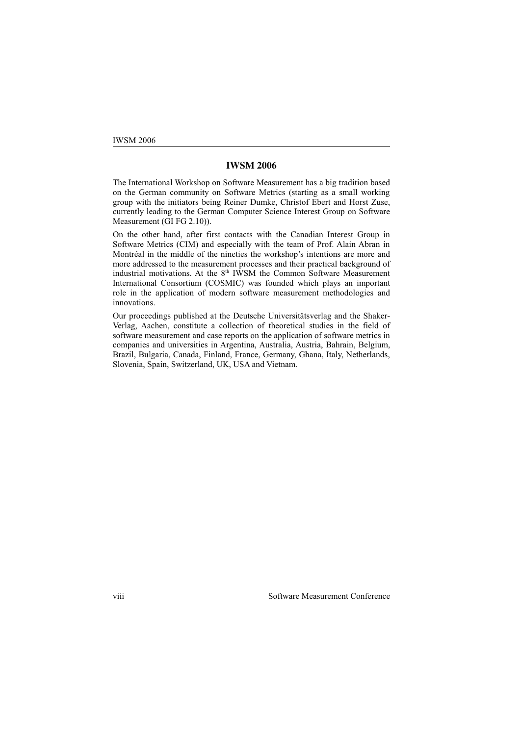## **IWSM 2006**

The International Workshop on Software Measurement has a big tradition based on the German community on Software Metrics (starting as a small working group with the initiators being Reiner Dumke, Christof Ebert and Horst Zuse, currently leading to the German Computer Science Interest Group on Software Measurement (GI FG 2.10)).

On the other hand, after first contacts with the Canadian Interest Group in Software Metrics (CIM) and especially with the team of Prof. Alain Abran in Montréal in the middle of the nineties the workshop's intentions are more and more addressed to the measurement processes and their practical background of industrial motivations. At the  $8<sup>th</sup>$  IWSM the Common Software Measurement International Consortium (COSMIC) was founded which plays an important role in the application of modern software measurement methodologies and innovations.

Our proceedings published at the Deutsche Universitätsverlag and the Shaker-Verlag, Aachen, constitute a collection of theoretical studies in the field of software measurement and case reports on the application of software metrics in companies and universities in Argentina, Australia, Austria, Bahrain, Belgium, Brazil, Bulgaria, Canada, Finland, France, Germany, Ghana, Italy, Netherlands, Slovenia, Spain, Switzerland, UK, USA and Vietnam.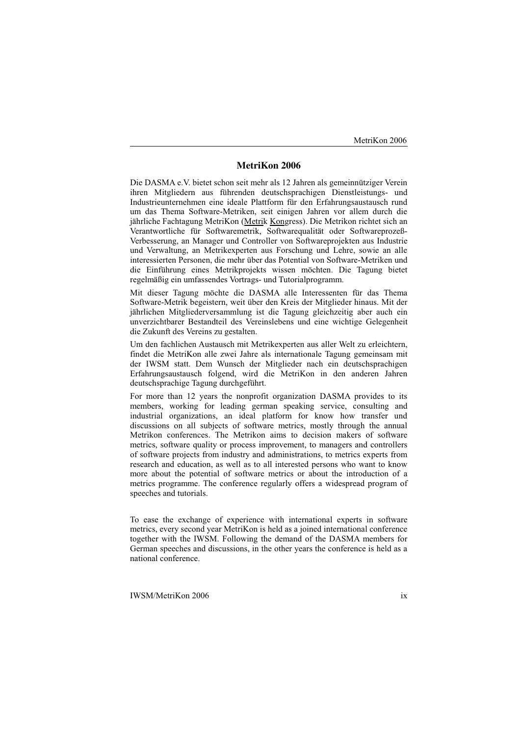# **MetriKon 2006**

Die DASMA e.V. bietet schon seit mehr als 12 Jahren als gemeinnütziger Verein ihren Mitgliedern aus führenden deutschsprachigen Dienstleistungs- und Industrieunternehmen eine ideale Plattform für den Erfahrungsaustausch rund um das Thema Software-Metriken, seit einigen Jahren vor allem durch die jährliche Fachtagung MetriKon (Metrik Kongress). Die Metrikon richtet sich an Verantwortliche für Softwaremetrik, Softwarequalität oder Softwareprozeß-Verbesserung, an Manager und Controller von Softwareprojekten aus Industrie und Verwaltung, an Metrikexperten aus Forschung und Lehre, sowie an alle interessierten Personen, die mehr über das Potential von Software-Metriken und die Einführung eines Metrikprojekts wissen möchten. Die Tagung bietet regelmäßig ein umfassendes Vortrags- und Tutorialprogramm.

Mit dieser Tagung möchte die DASMA alle Interessenten für das Thema Software-Metrik begeistern, weit über den Kreis der Mitglieder hinaus. Mit der jährlichen Mitgliederversammlung ist die Tagung gleichzeitig aber auch ein unverzichtbarer Bestandteil des Vereinslebens und eine wichtige Gelegenheit die Zukunft des Vereins zu gestalten.

Um den fachlichen Austausch mit Metrikexperten aus aller Welt zu erleichtern, findet die MetriKon alle zwei Jahre als internationale Tagung gemeinsam mit der IWSM statt. Dem Wunsch der Mitglieder nach ein deutschsprachigen Erfahrungsaustausch folgend, wird die MetriKon in den anderen Jahren deutschsprachige Tagung durchgeführt.

For more than 12 years the nonprofit organization DASMA provides to its members, working for leading german speaking service, consulting and industrial organizations, an ideal platform for know how transfer und discussions on all subjects of software metrics, mostly through the annual Metrikon conferences. The Metrikon aims to decision makers of software metrics, software quality or process improvement, to managers and controllers of software projects from industry and administrations, to metrics experts from research and education, as well as to all interested persons who want to know more about the potential of software metrics or about the introduction of a metrics programme. The conference regularly offers a widespread program of speeches and tutorials.

To ease the exchange of experience with international experts in software metrics, every second year MetriKon is held as a joined international conference together with the IWSM. Following the demand of the DASMA members for German speeches and discussions, in the other years the conference is held as a national conference.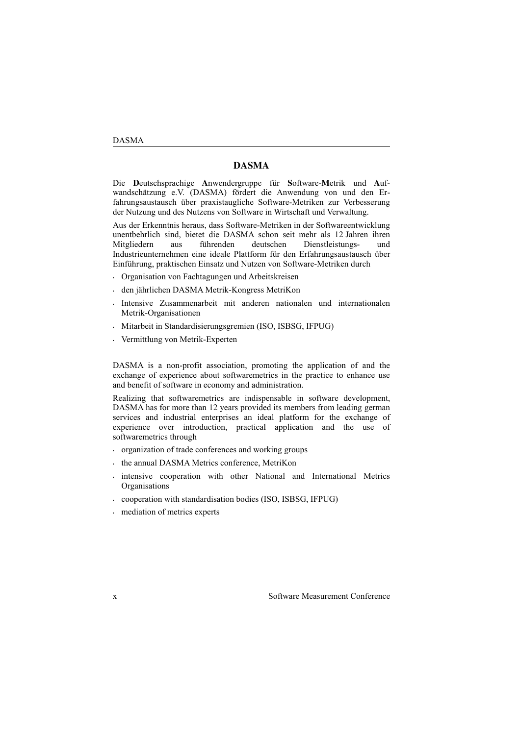## **DASMA**

Die **D**eutschsprachige **A**nwendergruppe für **S**oftware-**M**etrik und **A**ufwandschätzung e.V. (DASMA) fördert die Anwendung von und den Erfahrungsaustausch über praxistaugliche Software-Metriken zur Verbesserung der Nutzung und des Nutzens von Software in Wirtschaft und Verwaltung.

Aus der Erkenntnis heraus, dass Software-Metriken in der Softwareentwicklung unentbehrlich sind, bietet die DASMA schon seit mehr als 12 Jahren ihren Mitgliedern aus führenden deutschen Dienstleistungs- und Industrieunternehmen eine ideale Plattform für den Erfahrungsaustausch über Einführung, praktischen Einsatz und Nutzen von Software-Metriken durch

- <sup>C</sup> Organisation von Fachtagungen und Arbeitskreisen
- <sup>C</sup> den jährlichen DASMA Metrik-Kongress MetriKon
- <sup>C</sup> Intensive Zusammenarbeit mit anderen nationalen und internationalen Metrik-Organisationen
- <sup>C</sup> Mitarbeit in Standardisierungsgremien (ISO, ISBSG, IFPUG)
- Wermittlung von Metrik-Experten

DASMA is a non-profit association, promoting the application of and the exchange of experience about softwaremetrics in the practice to enhance use and benefit of software in economy and administration.

Realizing that softwaremetrics are indispensable in software development, DASMA has for more than 12 years provided its members from leading german services and industrial enterprises an ideal platform for the exchange of experience over introduction, practical application and the use of softwaremetrics through

- external conservation of trade conferences and working groups
- e the annual DASMA Metrics conference, MetriKon
- . intensive cooperation with other National and International Metrics Organisations
- cooperation with standardisation bodies (ISO, ISBSG, IFPUG)
- $\cdot$  mediation of metrics experts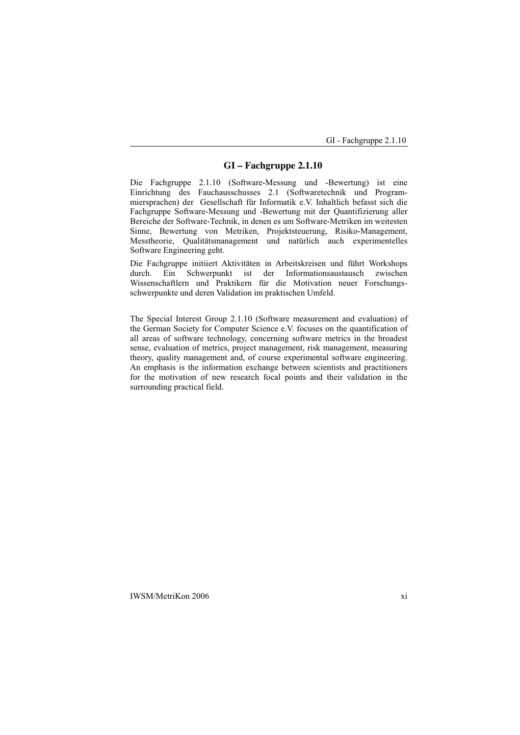# **GI – Fachgruppe 2.1.10**

Die Fachgruppe 2.1.10 (Software-Messung und -Bewertung) ist eine Einrichtung des Fauchausschusses 2.1 (Softwaretechnik und Programmiersprachen) der Gesellschaft für Informatik e.V. Inhaltlich befasst sich die Fachgruppe Software-Messung und -Bewertung mit der Quantifizierung aller Bereiche der Software-Technik, in denen es um Software-Metriken im weitesten Sinne, Bewertung von Metriken, Projektsteuerung, Risiko-Management, Messtheorie, Qualitätsmanagement und natürlich auch experimentelles Software Engineering geht.

Die Fachgruppe initiiert Aktivitäten in Arbeitskreisen und führt Workshops durch. Ein Schwerpunkt ist der Informationsaustausch zwischen Wissenschaftlern und Praktikern für die Motivation neuer Forschungsschwerpunkte und deren Validation im praktischen Umfeld.

The Special Interest Group 2.1.10 (Software measurement and evaluation) of the German Society for Computer Science e.V. focuses on the quantification of all areas of software technology, concerning software metrics in the broadest sense, evaluation of metrics, project management, risk management, measuring theory, quality management and, of course experimental software engineering. An emphasis is the information exchange between scientists and practitioners for the motivation of new research focal points and their validation in the surrounding practical field.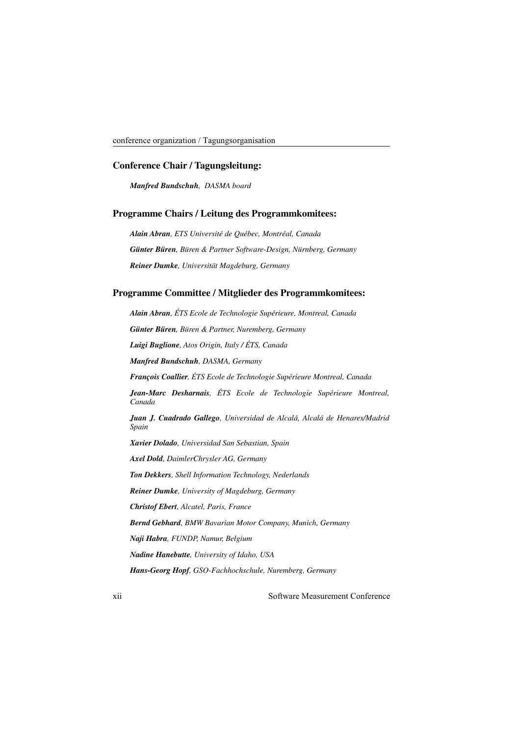## **Conference Chair / Tagungsleitung:**

*Manfred Bundschuh, DASMA board*

# **Programme Chairs / Leitung des Programmkomitees:**

*Alain Abran, ETS Université de Québec, Montréal, Canada Günter Büren, Büren & Partner Software-Design, Nürnberg, Germany Reiner Dumke, Universität Magdeburg, Germany*

# **Programme Committee / Mitglieder des Programmkomitees:**

*Alain Abran, ÉTS Ecole de Technologie Supérieure, Montreal, Canada*

*Günter Büren, Büren & Partner, Nuremberg, Germany*

*Luigi Buglione, Atos Origin, Italy / ÉTS, Canada*

*Manfred Bundschuh, DASMA, Germany*

*François Coallier, ÉTS Ecole de Technologie Supérieure Montreal, Canada*

*Jean-Marc Desharnais, ÉTS Ecole de Technologie Supérieure Montreal, Canada*

*Juan J. Cuadrado Gallego, Universidad de Alcalá, Alcalá de Henares/Madrid Spain*

*Xavier Dolado, Universidad San Sebastian, Spain*

*Axel Dold, DaimlerChrysler AG, Germany*

*Ton Dekkers, Shell Information Technology, Nederlands*

*Reiner Dumke, University of Magdeburg, Germany*

*Christof Ebert, Alcatel, Paris, France*

*Bernd Gebhard, BMW Bavarian Motor Company, Munich, Germany*

*Naji Habra, FUNDP, Namur, Belgium*

*Nadine Hanebutte, University of Idaho, USA*

*Hans-Georg Hopf, GSO-Fachhochschule, Nuremberg, Germany*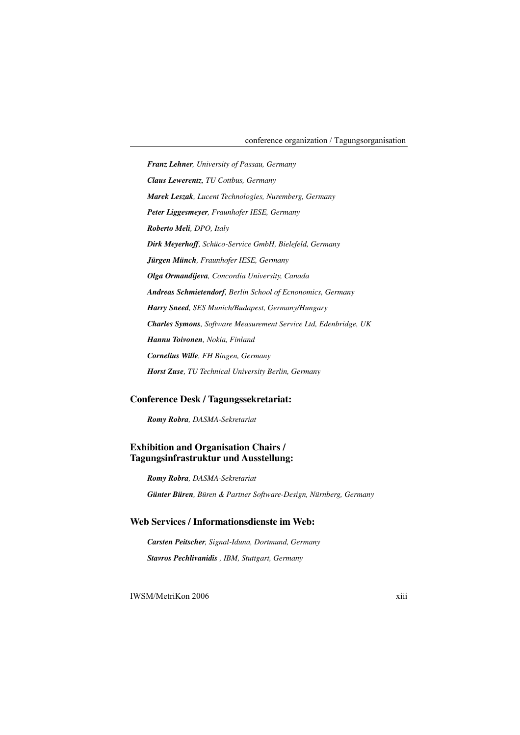*Franz Lehner, University of Passau, Germany Claus Lewerentz, TU Cottbus, Germany Marek Leszak, Lucent Technologies, Nuremberg, Germany Peter Liggesmeyer, Fraunhofer IESE, Germany Roberto Meli, DPO, Italy Dirk Meyerhoff, Schüco-Service GmbH, Bielefeld, Germany Jürgen Münch, Fraunhofer IESE, Germany Olga Ormandijeva, Concordia University, Canada Andreas Schmietendorf, Berlin School of Ecnonomics, Germany Harry Sneed, SES Munich/Budapest, Germany/Hungary Charles Symons, Software Measurement Service Ltd, Edenbridge, UK Hannu Toivonen, Nokia, Finland Cornelius Wille, FH Bingen, Germany Horst Zuse, TU Technical University Berlin, Germany*

# **Conference Desk / Tagungssekretariat:**

*Romy Robra, DASMA-Sekretariat*

# **Exhibition and Organisation Chairs / Tagungsinfrastruktur und Ausstellung:**

*Romy Robra, DASMA-Sekretariat*

*Günter Büren, Büren & Partner Software-Design, Nürnberg, Germany*

# **Web Services / Informationsdienste im Web:**

*Carsten Peitscher, Signal-Iduna, Dortmund, Germany Stavros Pechlivanidis , IBM, Stuttgart, Germany*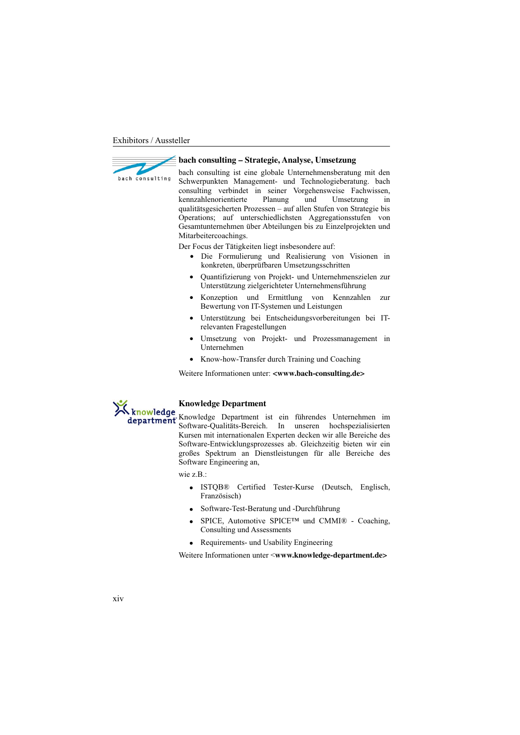

#### **bach consulting – Strategie, Analyse, Umsetzung**

bach consulting ist eine globale Unternehmensberatung mit den Schwerpunkten Management- und Technologieberatung. bach consulting verbindet in seiner Vorgehensweise Fachwissen, kennzahlenorientierte Planung und Umsetzung in qualitätsgesicherten Prozessen – auf allen Stufen von Strategie bis Operations; auf unterschiedlichsten Aggregationsstufen von Gesamtunternehmen über Abteilungen bis zu Einzelprojekten und Mitarbeitercoachings.

Der Focus der Tätigkeiten liegt insbesondere auf:

- Die Formulierung und Realisierung von Visionen in konkreten, überprüfbaren Umsetzungsschritten
- Quantifizierung von Projekt- und Unternehmenszielen zur Unterstützung zielgerichteter Unternehmensführung
- Konzeption und Ermittlung von Kennzahlen zur Bewertung von IT-Systemen und Leistungen
- Unterstützung bei Entscheidungsvorbereitungen bei ITrelevanten Fragestellungen
- Umsetzung von Projekt- und Prozessmanagement in Unternehmen
- Know-how-Transfer durch Training und Coaching

Weitere Informationen unter: **<www.bach-consulting.de>**



wie z.B.<sup>.</sup>

- ISTOB® Certified Tester-Kurse (Deutsch, Englisch, Französisch)
- Software-Test-Beratung und -Durchführung
- SPICE, Automotive SPICE™ und CMMI® Coaching, Consulting und Assessments
- Requirements- und Usability Engineering

Weitere Informationen unter <**www.knowledge-department.de>**